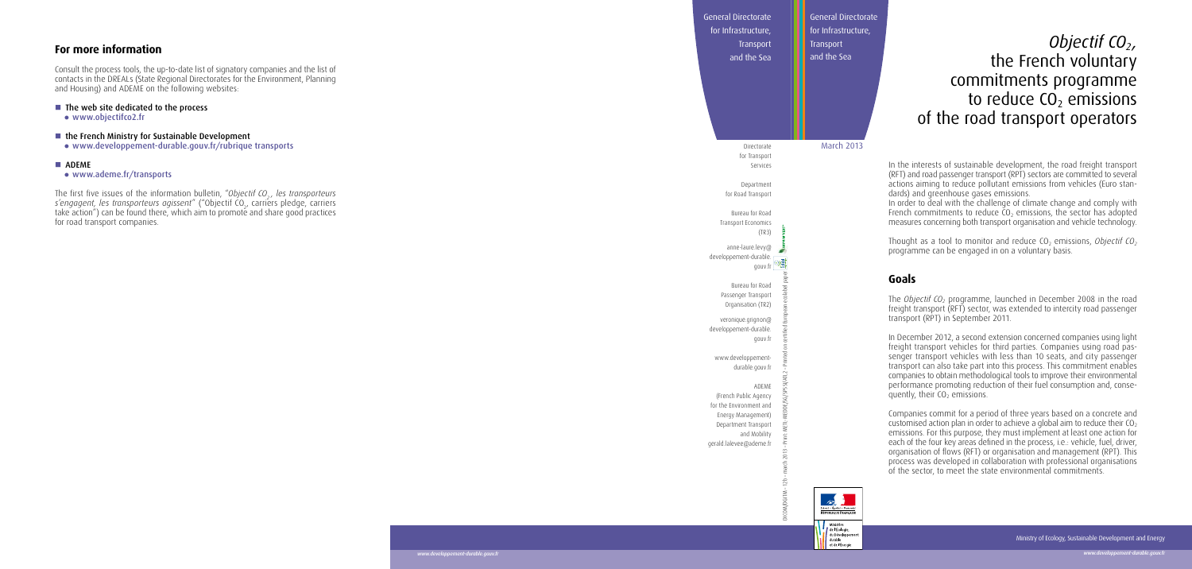# *Objectif CO 2,*  the French voluntary commitments programme to reduce  $CO<sub>2</sub>$  emissions of the road transport operators

ests of sustainable development, the road freight transport (RFT) and road passenger transport (RPT) sectors are committed to several actions aiming to reduce pollutant emissions from vehicles (Euro stan greenhouse gases emissions.

green besteparts annot the change and comply with French commitments to reduce  $CO<sub>2</sub>$  emissions, the sector has adopted oncerning both transport organisation and vehicle technology.

Thought as a tool to monitor and reduce CO 2 emissions, *Objectif CO 2* e can be engaged in on a voluntary basis.

Ministère de l'Écologie. du Développement durable<br>et de l'Énergie

The *Objectif CO <sup>2</sup>*programme, launched in December 2008 in the road  $f$  isport (RFT) sector, was extended to intercity road passenger (RPT) in September 2011.

er 2012, a second extension concerned companies using light freight transport vehicles for third parties. Companies using road pas nsport vehicles with less than 10 seats, and city passenger tran also take part into this process. This commitment enables companies to obtain methodological tools to improve their environmental performance promoting reduction of their fuel consumption and, conse quently, their CO 2 emissions.

commit for a period of three years based on a concrete and customised action plan in order to achieve a global aim to reduce their CO 2 emissions. For this purpose, they must implement at least one action for each our key areas defined in the process, i.e.: vehicle, fuel, driver, on of flows (RFT) or organisation and management (RPT). This as developed in collaboration with professional organisations or, to meet the state environmental commitments.

|                                                                                                                                                                                                                                 | General Directorate<br>for Infrastructure,                             | General Directorate<br>for Infrastructure,                           |                                           |
|---------------------------------------------------------------------------------------------------------------------------------------------------------------------------------------------------------------------------------|------------------------------------------------------------------------|----------------------------------------------------------------------|-------------------------------------------|
| For more information                                                                                                                                                                                                            | Transport<br>and the Sea                                               | Transport<br>and the Sea                                             |                                           |
| Consult the process tools, the up-to-date list of signatory companies and the list of<br>contacts in the DREALs (State Regional Directorates for the Environment, Planning<br>and Housing) and ADEME on the following websites: |                                                                        |                                                                      |                                           |
| ■ The web site dedicated to the process<br>• www.objectifco2.fr                                                                                                                                                                 |                                                                        |                                                                      | 01                                        |
| the French Ministry for Sustainable Development<br>· www.developpement-durable.gouv.fr/rubrique transports                                                                                                                      | Directorate<br>for Transport                                           | March 2013                                                           |                                           |
| <b>ADEME</b><br>• www.ademe.fr/transports                                                                                                                                                                                       | Services                                                               |                                                                      | In the inter<br>(RFT) and ro              |
| The first five issues of the information bulletin, "Objectif CO <sub>2</sub> , les transporteurs s'engagent, les transporteurs agissent" ("Objectif CO <sub>2</sub> , carriers pledge, carriers                                 | Department<br>for Road Transport                                       |                                                                      | actions aim<br>dards) and<br>In order to  |
| take action") can be found there, which aim to promote and share good practices<br>for road transport companies.                                                                                                                | Bureau for Road<br>Transport Economics<br>(TR3)                        |                                                                      | French com<br>measures co                 |
|                                                                                                                                                                                                                                 | anne-laure.levy@<br>developpement-durable.<br>gouv.fr                  |                                                                      | Thought as<br>programme                   |
|                                                                                                                                                                                                                                 | Bureau for Road                                                        |                                                                      | Goals                                     |
|                                                                                                                                                                                                                                 | Passenger Transport<br>Organisation (TR2)                              |                                                                      | The Objecti.<br>freight trans             |
|                                                                                                                                                                                                                                 | veronique.grignon@<br>developpement-durable.<br>gouv.fr                |                                                                      | transport (R<br>In Decembe                |
|                                                                                                                                                                                                                                 | www.developpement-                                                     |                                                                      | freight tran:<br>senger tran              |
|                                                                                                                                                                                                                                 | durable.gouv.fr<br>ADEME                                               |                                                                      | transport ca<br>companies t<br>performanc |
|                                                                                                                                                                                                                                 | (French Public Agency<br>for the Environment and<br>Energy Management) |                                                                      | quently, the<br>Companies                 |
|                                                                                                                                                                                                                                 | Department Transport<br>and Mobility<br>€                              |                                                                      | customised<br>emissions. F<br>each of the |
|                                                                                                                                                                                                                                 | gerald.lalevee@ademe.fr<br>march                                       |                                                                      | organisation<br>process was               |
|                                                                                                                                                                                                                                 |                                                                        |                                                                      | of the secto                              |
|                                                                                                                                                                                                                                 | ICOM/DGITM - 12b -                                                     | $\mathbb{Z}$<br>.iberté • Égalité • Fraterni<br>RÉPUBLIQUE FRANÇAISE |                                           |